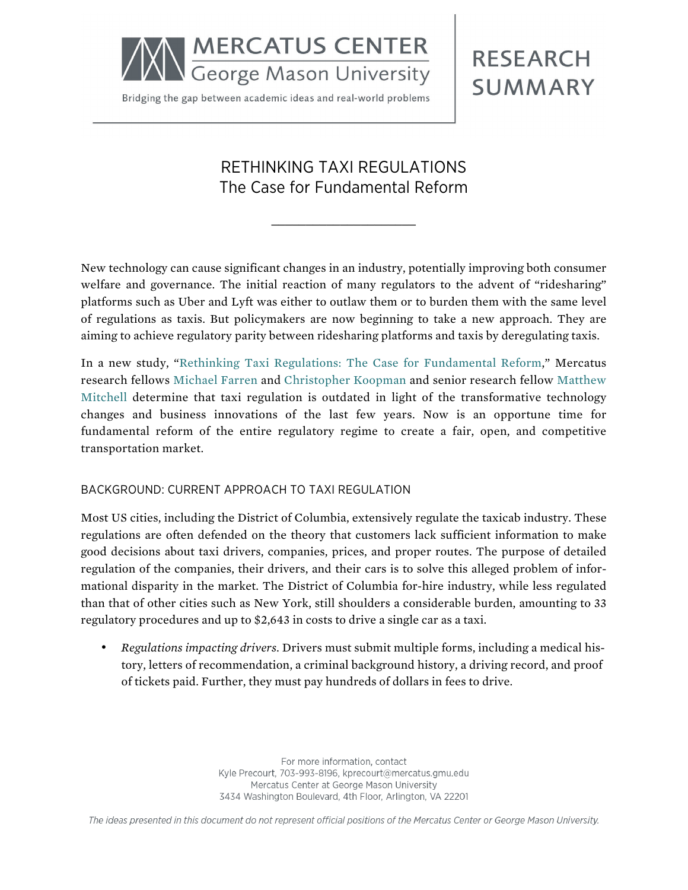

Bridging the gap between academic ideas and real-world problems

# **RESEARCH SUMMARY**

# RETHINKING TAXI REGULATIONS The Case for Fundamental Reform

\_\_\_\_\_\_\_\_\_\_\_\_\_\_\_\_\_\_\_\_\_

New technology can cause significant changes in an industry, potentially improving both consumer welfare and governance. The initial reaction of many regulators to the advent of "ridesharing" platforms such as Uber and Lyft was either to outlaw them or to burden them with the same level of regulations as taxis. But policymakers are now beginning to take a new approach. They are aiming to achieve regulatory parity between ridesharing platforms and taxis by deregulating taxis.

In a new study, "[Rethinking Taxi Regulations: The Case for Fundamental Reform](http://mercatus.org/publication/rethinking-taxi-regulations-case-fundamental-reform)," Mercatus research fellows [Michael Farren](http://mercatus.org/michael-farren) and [Christopher Koopman](http://mercatus.org/christopher-koopman) and senior research fellow [Matthew](http://mercatus.org/matthew-mitchell)  [Mitchell](http://mercatus.org/matthew-mitchell) determine that taxi regulation is outdated in light of the transformative technology changes and business innovations of the last few years. Now is an opportune time for fundamental reform of the entire regulatory regime to create a fair, open, and competitive transportation market.

#### BACKGROUND: CURRENT APPROACH TO TAXI REGULATION

Most US cities, including the District of Columbia, extensively regulate the taxicab industry. These regulations are often defended on the theory that customers lack sufficient information to make good decisions about taxi drivers, companies, prices, and proper routes. The purpose of detailed regulation of the companies, their drivers, and their cars is to solve this alleged problem of informational disparity in the market. The District of Columbia for-hire industry, while less regulated than that of other cities such as New York, still shoulders a considerable burden, amounting to 33 regulatory procedures and up to \$2,643 in costs to drive a single car as a taxi.

• *Regulations impacting drivers.* Drivers must submit multiple forms, including a medical history, letters of recommendation, a criminal background history, a driving record, and proof of tickets paid. Further, they must pay hundreds of dollars in fees to drive.

> For more information, contact Kyle Precourt, 703-993-8196, kprecourt@mercatus.gmu.edu Mercatus Center at George Mason University 3434 Washington Boulevard, 4th Floor, Arlington, VA 22201

The ideas presented in this document do not represent official positions of the Mercatus Center or George Mason University.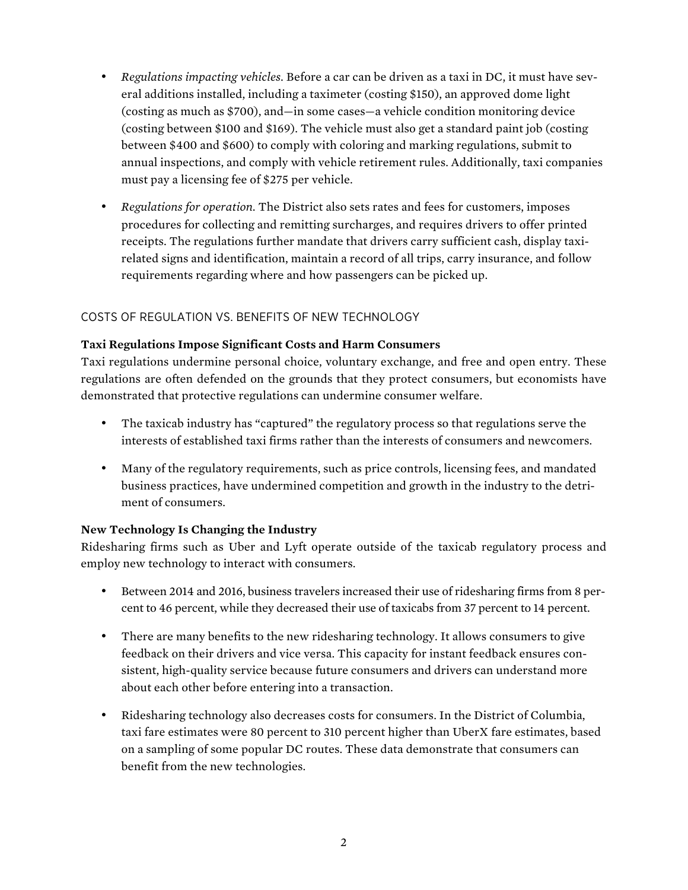- *Regulations impacting vehicles.* Before a car can be driven as a taxi in DC, it must have several additions installed, including a taximeter (costing \$150), an approved dome light (costing as much as \$700), and—in some cases—a vehicle condition monitoring device (costing between \$100 and \$169). The vehicle must also get a standard paint job (costing between \$400 and \$600) to comply with coloring and marking regulations, submit to annual inspections, and comply with vehicle retirement rules. Additionally, taxi companies must pay a licensing fee of \$275 per vehicle.
- *Regulations for operation.* The District also sets rates and fees for customers, imposes procedures for collecting and remitting surcharges, and requires drivers to offer printed receipts. The regulations further mandate that drivers carry sufficient cash, display taxirelated signs and identification, maintain a record of all trips, carry insurance, and follow requirements regarding where and how passengers can be picked up.

# COSTS OF REGULATION VS. BENEFITS OF NEW TECHNOLOGY

### **Taxi Regulations Impose Significant Costs and Harm Consumers**

Taxi regulations undermine personal choice, voluntary exchange, and free and open entry. These regulations are often defended on the grounds that they protect consumers, but economists have demonstrated that protective regulations can undermine consumer welfare.

- The taxicab industry has "captured" the regulatory process so that regulations serve the interests of established taxi firms rather than the interests of consumers and newcomers.
- Many of the regulatory requirements, such as price controls, licensing fees, and mandated business practices, have undermined competition and growth in the industry to the detriment of consumers.

## **New Technology Is Changing the Industry**

Ridesharing firms such as Uber and Lyft operate outside of the taxicab regulatory process and employ new technology to interact with consumers.

- Between 2014 and 2016, business travelers increased their use of ridesharing firms from 8 percent to 46 percent, while they decreased their use of taxicabs from 37 percent to 14 percent.
- There are many benefits to the new ridesharing technology. It allows consumers to give feedback on their drivers and vice versa. This capacity for instant feedback ensures consistent, high-quality service because future consumers and drivers can understand more about each other before entering into a transaction.
- Ridesharing technology also decreases costs for consumers. In the District of Columbia, taxi fare estimates were 80 percent to 310 percent higher than UberX fare estimates, based on a sampling of some popular DC routes. These data demonstrate that consumers can benefit from the new technologies.